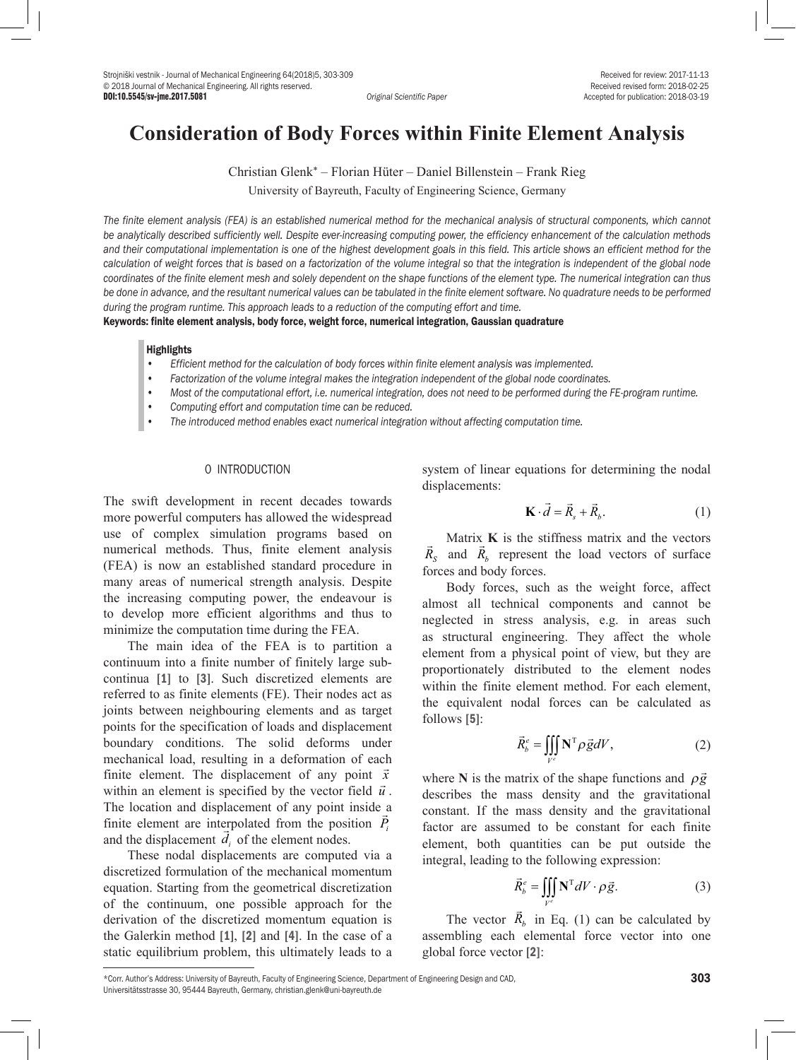# **Consideration of Body Forces within Finite Element Analysis**

Christian Glenk\* – Florian Hüter – Daniel Billenstein – Frank Rieg

University of Bayreuth, Faculty of Engineering Science, Germany

*The finite element analysis (FEA) is an established numerical method for the mechanical analysis of structural components, which cannot be analytically described sufficiently well. Despite ever-increasing computing power, the efficiency enhancement of the calculation methods*  and their computational implementation is one of the highest development goals in this field. This article shows an efficient method for the *calculation of weight forces that is based on a factorization of the volume integral so that the integration is independent of the global node coordinates of the finite element mesh and solely dependent on the shape functions of the element type. The numerical integration can thus*  be done in advance, and the resultant numerical values can be tabulated in the finite element software. No quadrature needs to be performed *during the program runtime. This approach leads to a reduction of the computing effort and time.* 

Keywords: finite element analysis, body force, weight force, numerical integration, Gaussian quadrature

#### **Highlights**

- *• Efficient method for the calculation of body forces within finite element analysis was implemented.*
- *• Factorization of the volume integral makes the integration independent of the global node coordinates.*
- *• Most of the computational effort, i.e. numerical integration, does not need to be performed during the FE-program runtime.*
- *• Computing effort and computation time can be reduced.*
- *• The introduced method enables exact numerical integration without affecting computation time.*

#### 0 INTRODUCTION

The swift development in recent decades towards more powerful computers has allowed the widespread use of complex simulation programs based on numerical methods. Thus, finite element analysis (FEA) is now an established standard procedure in many areas of numerical strength analysis. Despite the increasing computing power, the endeavour is to develop more efficient algorithms and thus to minimize the computation time during the FEA.

The main idea of the FEA is to partition a continuum into a finite number of finitely large subcontinua [1] to [3]. Such discretized elements are referred to as finite elements (FE). Their nodes act as joints between neighbouring elements and as target points for the specification of loads and displacement boundary conditions. The solid deforms under mechanical load, resulting in a deformation of each finite element. The displacement of any point *x* within an element is specified by the vector field  $\vec{u}$ . The location and displacement of any point inside a Finite element are interpolated from the position  $\vec{P}_i$ inhere element are interpolated from the position<br>and the displacement  $\vec{d}_i$  of the element nodes.

These nodal displacements are computed via a discretized formulation of the mechanical momentum equation. Starting from the geometrical discretization of the continuum, one possible approach for the derivation of the discretized momentum equation is the Galerkin method [1], [2] and [4]. In the case of a static equilibrium problem, this ultimately leads to a system of linear equations for determining the nodal displacements:

$$
\mathbf{K} \cdot \vec{d} = \vec{R}_s + \vec{R}_b. \tag{1}
$$

Matrix **K** is the stiffness matrix and the vectors *R<sub>s</sub>* and  $\vec{R}_b$  represent the load vectors of surface forces and body forces.

Body forces, such as the weight force, affect almost all technical components and cannot be neglected in stress analysis, e.g. in areas such as structural engineering. They affect the whole element from a physical point of view, but they are proportionately distributed to the element nodes within the finite element method. For each element, the equivalent nodal forces can be calculated as follows [5]:

$$
\vec{R}_{b}^{e} = \iiint\limits_{V^{e}} \mathbf{N}^{\mathrm{T}} \rho \vec{g} dV, \qquad (2)
$$

where **N** is the matrix of the shape functions and  $\rho \vec{g}$ describes the mass density and the gravitational constant. If the mass density and the gravitational factor are assumed to be constant for each finite element, both quantities can be put outside the integral, leading to the following expression:

$$
\vec{R}_{b}^{e} = \iiint\limits_{V^{e}} \mathbf{N}^{T} dV \cdot \rho \vec{g}.
$$
 (3)

The vector  $\vec{R}_b$  in Eq. (1) can be calculated by assembling each elemental force vector into one global force vector [2]:

<sup>\*</sup>Corr. Author's Address: University of Bayreuth, Faculty of Engineering Science, Department of Engineering Design and CAD, Universitätsstrasse 30, 95444 Bayreuth, Germany, christian.glenk@uni-bayreuth.de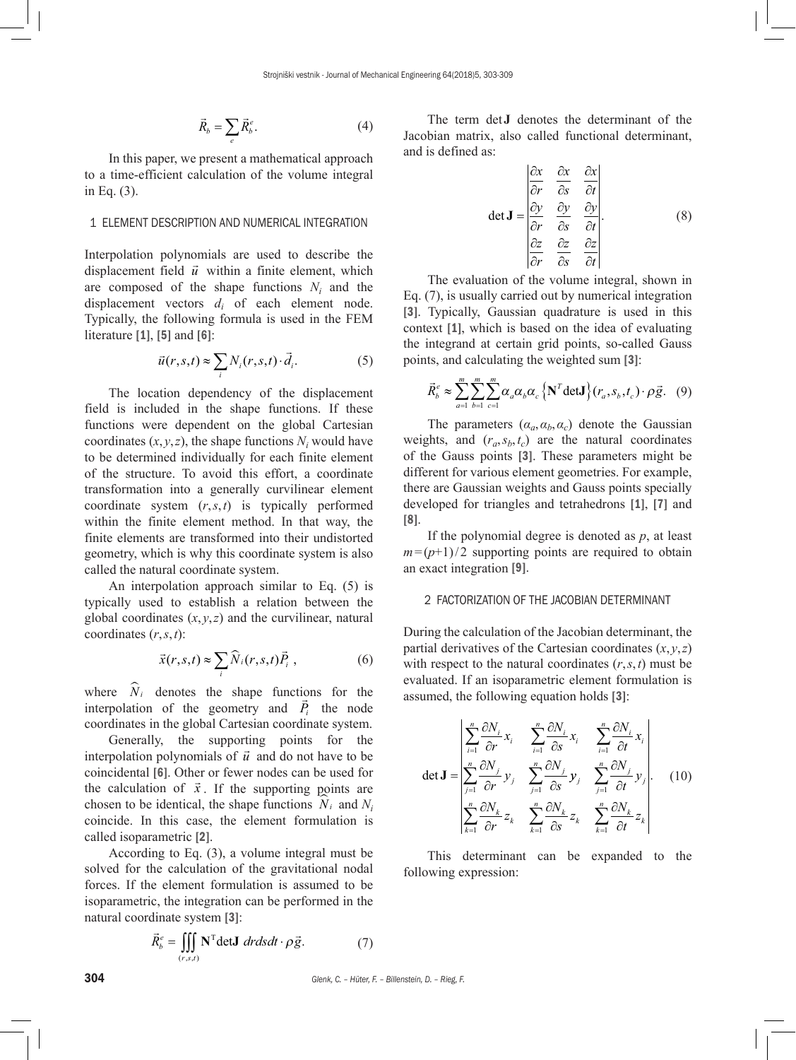$$
\vec{R}_b = \sum_e \vec{R}_b^e. \tag{4}
$$

In this paper, we present a mathematical approach to a time-efficient calculation of the volume integral in Eq. (3).

# 1 ELEMENT DESCRIPTION AND NUMERICAL INTEGRATION

Interpolation polynomials are used to describe the displacement field  $\vec{u}$  within a finite element, which are composed of the shape functions  $N_i$  and the displacement vectors  $d_i$  of each element node. Typically, the following formula is used in the FEM literature [1], [5] and [6]:

$$
\vec{u}(r,s,t) \approx \sum_{i} N_i(r,s,t) \cdot \vec{d}_i.
$$
 (5)

The location dependency of the displacement field is included in the shape functions. If these functions were dependent on the global Cartesian coordinates  $(x, y, z)$ , the shape functions  $N_i$  would have to be determined individually for each finite element of the structure. To avoid this effort, a coordinate transformation into a generally curvilinear element coordinate system (*r*,*s*,*t*) is typically performed within the finite element method. In that way, the finite elements are transformed into their undistorted geometry, which is why this coordinate system is also called the natural coordinate system.

An interpolation approach similar to Eq. (5) is typically used to establish a relation between the global coordinates  $(x, y, z)$  and the curvilinear, natural coordinates (*r*,*s*,*t*):

$$
\vec{x}(r,s,t) \approx \sum_{i} \widehat{N}_{i}(r,s,t) \vec{P}_{i} , \qquad (6)
$$

where  $\hat{N}_i$  denotes the shape functions for the where  $N_i$  denotes the shape functions for the interpolation of the geometry and  $\vec{P}_i$  the node coordinates in the global Cartesian coordinate system.

Generally, the supporting points for the interpolation polynomials of  $\vec{u}$  and do not have to be coincidental [6]. Other or fewer nodes can be used for the calculation of  $\vec{x}$ . If the supporting points are chosen to be identical, the shape functions  $N_i$  and  $N_i$ coincide. In this case, the element formulation is called isoparametric [2].

According to Eq. (3), a volume integral must be solved for the calculation of the gravitational nodal forces. If the element formulation is assumed to be isoparametric, the integration can be performed in the natural coordinate system [3]:

$$
\vec{R}_{b}^{e} = \iiint\limits_{(r,s,t)} \mathbf{N}^{\mathrm{T}} \mathbf{det} \mathbf{J} \, dr ds dt \cdot \rho \vec{g}.
$$
 (7)

The term det**J** denotes the determinant of the Jacobian matrix, also called functional determinant, and is defined as:

$$
\det \mathbf{J} = \begin{vmatrix} \frac{\partial x}{\partial r} & \frac{\partial x}{\partial s} & \frac{\partial x}{\partial t} \\ \frac{\partial y}{\partial r} & \frac{\partial y}{\partial s} & \frac{\partial y}{\partial t} \\ \frac{\partial z}{\partial r} & \frac{\partial z}{\partial s} & \frac{\partial z}{\partial t} \end{vmatrix}.
$$
 (8)

The evaluation of the volume integral, shown in Eq. (7), is usually carried out by numerical integration [3]. Typically, Gaussian quadrature is used in this context [1], which is based on the idea of evaluating the integrand at certain grid points, so-called Gauss points, and calculating the weighted sum [3]:

$$
\vec{R}_{b}^{e} \approx \sum_{a=1}^{m} \sum_{b=1}^{m} \sum_{c=1}^{m} \alpha_{a} \alpha_{b} \alpha_{c} \left\{ \mathbf{N}^{T} \det \mathbf{J} \right\} (r_{a}, s_{b}, t_{c}) \cdot \rho \vec{g}. \tag{9}
$$

The parameters  $(a_a, a_b, a_c)$  denote the Gaussian weights, and  $(r_a, s_b, t_c)$  are the natural coordinates of the Gauss points [3]. These parameters might be different for various element geometries. For example, there are Gaussian weights and Gauss points specially developed for triangles and tetrahedrons [1], [7] and [8].

If the polynomial degree is denoted as *p*, at least  $m=(p+1)/2$  supporting points are required to obtain an exact integration [9].

## 2 FACTORIZATION OF THE JACOBIAN DETERMINANT

During the calculation of the Jacobian determinant, the partial derivatives of the Cartesian coordinates  $(x, y, z)$ with respect to the natural coordinates (*r*,*s*,*t*) must be evaluated. If an isoparametric element formulation is assumed, the following equation holds [3]:

$$
\det \mathbf{J} = \begin{vmatrix} \sum_{i=1}^{n} \frac{\partial N_i}{\partial r} x_i & \sum_{i=1}^{n} \frac{\partial N_i}{\partial s} x_i & \sum_{i=1}^{n} \frac{\partial N_i}{\partial t} x_i \\ \sum_{j=1}^{n} \frac{\partial N_j}{\partial r} y_j & \sum_{j=1}^{n} \frac{\partial N_j}{\partial s} y_j & \sum_{j=1}^{n} \frac{\partial N_j}{\partial t} y_j \\ \sum_{k=1}^{n} \frac{\partial N_k}{\partial r} z_k & \sum_{k=1}^{n} \frac{\partial N_k}{\partial s} z_k & \sum_{k=1}^{n} \frac{\partial N_k}{\partial t} z_k \end{vmatrix}.
$$
 (10)

This determinant can be expanded to the following expression:

304 *Glenk, C. – Hüter, F. – Billenstein, D. – Rieg, F.*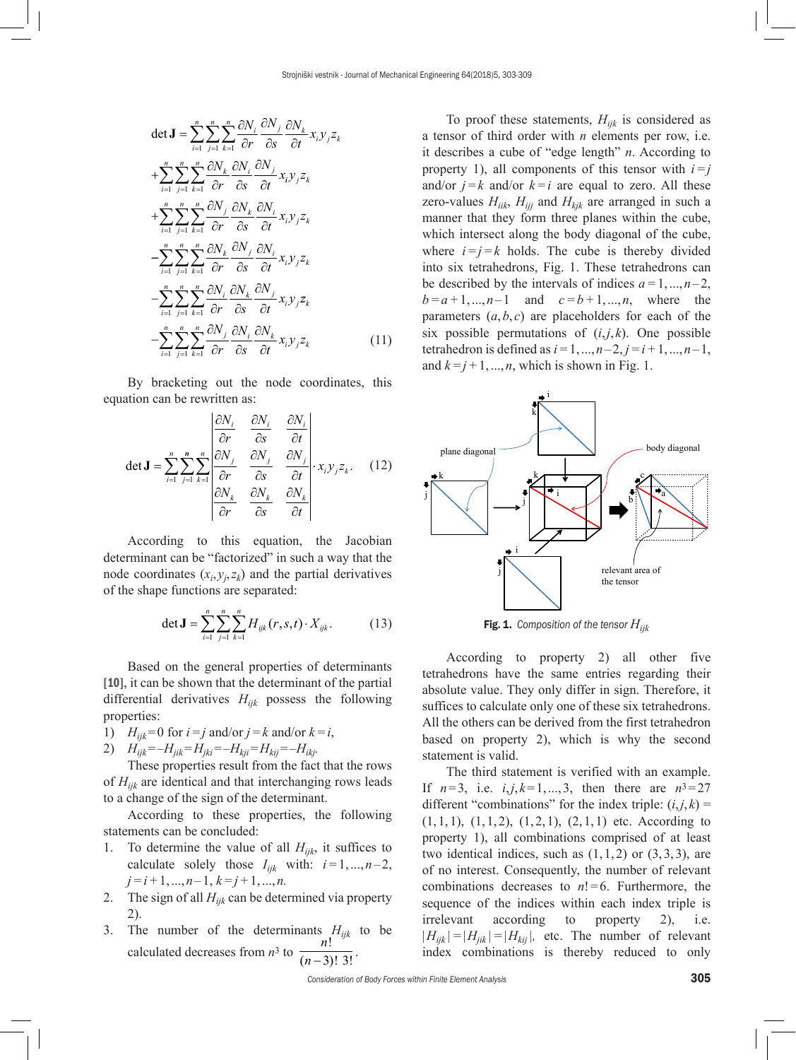$$
\det \mathbf{J} = \sum_{i=1}^{n} \sum_{j=1}^{n} \sum_{k=1}^{n} \frac{\partial N_i}{\partial r} \frac{\partial N_j}{\partial s} \frac{\partial N_k}{\partial t} x_i y_j z_k
$$
  
+ 
$$
\sum_{i=1}^{n} \sum_{j=1}^{n} \sum_{k=1}^{n} \frac{\partial N_k}{\partial r} \frac{\partial N_i}{\partial s} \frac{\partial N_j}{\partial t} x_i y_j z_k
$$
  
+ 
$$
\sum_{i=1}^{n} \sum_{j=1}^{n} \sum_{k=1}^{n} \frac{\partial N_j}{\partial r} \frac{\partial N_k}{\partial s} \frac{\partial N_i}{\partial t} x_i y_j z_k
$$
  
- 
$$
\sum_{i=1}^{n} \sum_{j=1}^{n} \sum_{k=1}^{n} \frac{\partial N_k}{\partial r} \frac{\partial N_j}{\partial s} \frac{\partial N_j}{\partial t} x_i y_j z_k
$$
  
- 
$$
\sum_{i=1}^{n} \sum_{j=1}^{n} \sum_{k=1}^{n} \frac{\partial N_i}{\partial r} \frac{\partial N_k}{\partial s} \frac{\partial N_j}{\partial t} x_i y_j z_k
$$
  
- 
$$
\sum_{i=1}^{n} \sum_{j=1}^{n} \sum_{k=1}^{n} \frac{\partial N_j}{\partial r} \frac{\partial N_i}{\partial s} \frac{\partial N_k}{\partial t} x_i y_j z_k
$$
(11)

By bracketing out the node coordinates, this equation can be rewritten as:

$$
\det \mathbf{J} = \sum_{i=1}^{n} \sum_{j=1}^{n} \sum_{k=1}^{n} \left| \frac{\frac{\partial N_i}{\partial r} - \frac{\partial N_i}{\partial s}}{\frac{\partial N_j}{\partial s}} - \frac{\frac{\partial N_j}{\partial t}}{\frac{\partial s}{\partial t}} \right| \cdot x_i y_j z_k. \quad (12)
$$

According to this equation, the Jacobian determinant can be "factorized" in such a way that the node coordinates  $(x_i, y_j, z_k)$  and the partial derivatives of the shape functions are separated:

$$
\det \mathbf{J} = \sum_{i=1}^{n} \sum_{j=1}^{n} \sum_{k=1}^{n} H_{ijk}(r, s, t) \cdot X_{ijk}.
$$
 (13)

Based on the general properties of determinants [10], it can be shown that the determinant of the partial differential derivatives *Hijk* possess the following properties:

- 1)  $H_{ijk} = 0$  for  $i = j$  and/or  $j = k$  and/or  $k = i$ ,
- 2)  $H_{ijk} = -H_{jik} = H_{jki} = -H_{kji} = H_{kij} = -H_{ikj}.$

These properties result from the fact that the rows of *Hijk* are identical and that interchanging rows leads to a change of the sign of the determinant.

According to these properties, the following statements can be concluded:

- 1. To determine the value of all  $H_{ijk}$ , it suffices to calculate solely those  $I_{ijk}$  with:  $i=1,...,n-2$ ,  $j=i+1, ..., n-1, k=j+1, ..., n$ .
- 2. The sign of all  $H_{ijk}$  can be determined via property 2).
- 3. The number of the determinants  $H_{ijk}$  to be calculated decreases from  $n^3$  to  $\frac{n}{\sqrt{n}}$ *n* !  $\frac{1}{(n-3)!3!}$ .

To proof these statements,  $H_{ijk}$  is considered as a tensor of third order with *n* elements per row, i.e. it describes a cube of "edge length" *n*. According to property 1), all components of this tensor with  $i=j$ and/or  $j=k$  and/or  $k=i$  are equal to zero. All these zero-values  $H_{iik}$ ,  $H_{iij}$  and  $H_{kjk}$  are arranged in such a manner that they form three planes within the cube, which intersect along the body diagonal of the cube, where  $i=j=k$  holds. The cube is thereby divided into six tetrahedrons, Fig. 1. These tetrahedrons can be described by the intervals of indices  $a=1,...,n-2$ ,  $b = a+1, ..., n-1$  and  $c = b+1, ..., n$ , where the parameters  $(a, b, c)$  are placeholders for each of the six possible permutations of  $(i,j,k)$ . One possible tetrahedron is defined as  $i=1,...,n-2, j=i+1,...,n-1$ , and  $k=j+1, ..., n$ , which is shown in Fig. 1.



Fig. 1. *Composition of the tensor Hijk*

According to property 2) all other five tetrahedrons have the same entries regarding their absolute value. They only differ in sign. Therefore, it suffices to calculate only one of these six tetrahedrons. All the others can be derived from the first tetrahedron based on property 2), which is why the second statement is valid.

The third statement is verified with an example. If  $n=3$ , i.e.  $i, j, k=1,...,3$ , then there are  $n^3=27$ different "combinations" for the index triple:  $(i, j, k)$  =  $(1, 1, 1), (1, 1, 2), (1, 2, 1), (2, 1, 1)$  etc. According to property 1), all combinations comprised of at least two identical indices, such as  $(1, 1, 2)$  or  $(3, 3, 3)$ , are of no interest. Consequently, the number of relevant combinations decreases to  $n! = 6$ . Furthermore, the sequence of the indices within each index triple is irrelevant according to property 2), i.e.  $|H_{ijk}| = |H_{jik}| = |H_{kij}|$ , etc. The number of relevant index combinations is thereby reduced to only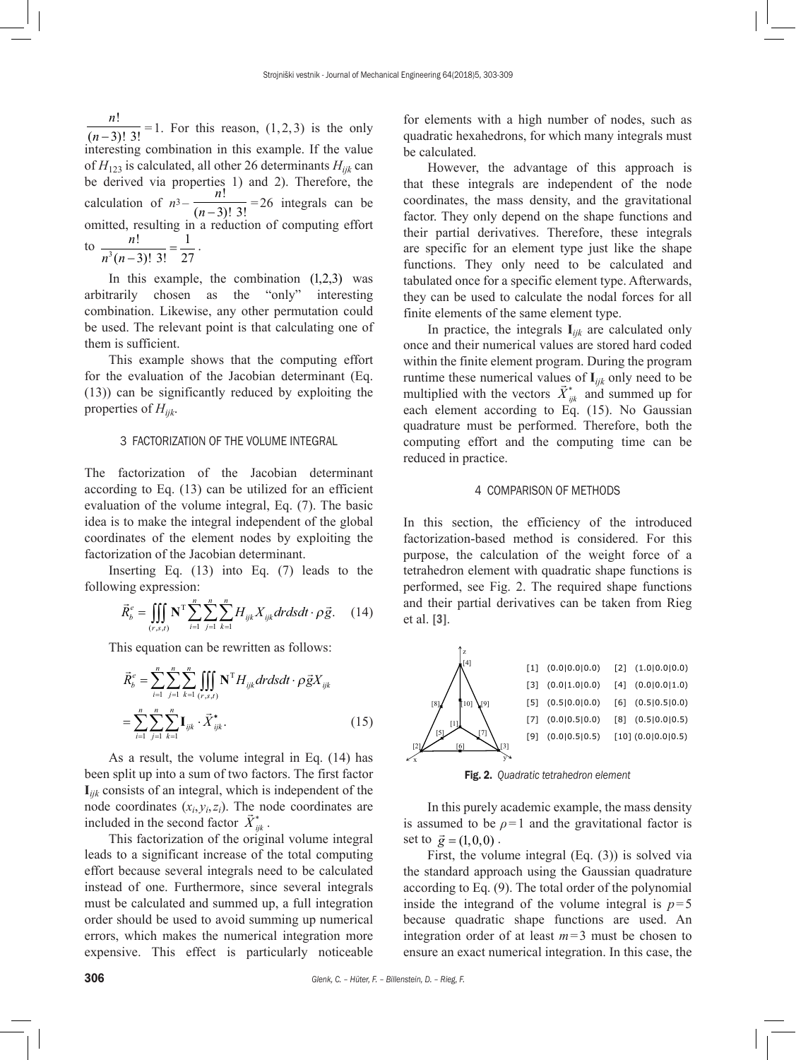*n n* !  $\overline{(n-3)! \ 3!}$  = 1. For this reason, (1,2,3) is the only interesting combination in this example. If the value of  $H_{123}$  is calculated, all other 26 determinants  $H_{ijk}$  can be derived via properties 1) and 2). Therefore, the calculation of  $n^3 - \frac{n}{(n-3)}$ !  $\frac{(n-3)!}{3!}$  =26 integrals can be omitted, resulting in a reduction of computing effort  $\frac{1}{2}$ n! 1  $\frac{n!}{(-3)!}$  3! =  $\frac{1}{27}$ .

$$
n^3(n-3)!\cdot 3!\cdot 27
$$

In this example, the combination (1,2,3) was arbitrarily chosen as the "only" interesting combination. Likewise, any other permutation could be used. The relevant point is that calculating one of them is sufficient.

This example shows that the computing effort for the evaluation of the Jacobian determinant (Eq. (13)) can be significantly reduced by exploiting the properties of *Hijk*.

## 3 FACTORIZATION OF THE VOLUME INTEGRAL

The factorization of the Jacobian determinant according to Eq. (13) can be utilized for an efficient evaluation of the volume integral, Eq. (7). The basic idea is to make the integral independent of the global coordinates of the element nodes by exploiting the factorization of the Jacobian determinant.

Inserting Eq. (13) into Eq. (7) leads to the following expression:

$$
\vec{R}_{b}^{e} = \iiint\limits_{(r,s,t)} \mathbf{N}^{\mathrm{T}} \sum_{i=1}^{n} \sum_{j=1}^{n} \sum_{k=1}^{n} H_{ijk} X_{ijk} dr ds dt \cdot \rho \vec{g}. \tag{14}
$$

This equation can be rewritten as follows:

$$
\vec{R}_{b}^{e} = \sum_{i=1}^{n} \sum_{j=1}^{n} \sum_{k=1}^{n} \iiint_{(r,s,t)} \mathbf{N}^{T} H_{ijk} dr ds dt \cdot \rho \vec{g} X_{ijk}
$$
\n
$$
= \sum_{i=1}^{n} \sum_{j=1}^{n} \sum_{k=1}^{n} \mathbf{I}_{ijk} \cdot \vec{X}_{ijk}^{*}.
$$
\n(15)

As a result, the volume integral in Eq. (14) has been split up into a sum of two factors. The first factor **I***ijk* consists of an integral, which is independent of the node coordinates  $(x_i, y_i, z_i)$ . The node coordinates are included in the second factor  $\vec{X}_{ijk}^*$ .

This factorization of the original volume integral leads to a significant increase of the total computing effort because several integrals need to be calculated instead of one. Furthermore, since several integrals must be calculated and summed up, a full integration order should be used to avoid summing up numerical errors, which makes the numerical integration more expensive. This effect is particularly noticeable for elements with a high number of nodes, such as quadratic hexahedrons, for which many integrals must be calculated.

However, the advantage of this approach is that these integrals are independent of the node coordinates, the mass density, and the gravitational factor. They only depend on the shape functions and their partial derivatives. Therefore, these integrals are specific for an element type just like the shape functions. They only need to be calculated and tabulated once for a specific element type. Afterwards, they can be used to calculate the nodal forces for all finite elements of the same element type.

In practice, the integrals  $I_{ijk}$  are calculated only once and their numerical values are stored hard coded within the finite element program. During the program runtime these numerical values of  $I_{ijk}$  only need to be multiplied with the vectors  $\vec{X}_{ijk}^*$  and summed up for each element according to Eq. (15). No Gaussian quadrature must be performed. Therefore, both the computing effort and the computing time can be reduced in practice.

#### 4 COMPARISON OF METHODS

In this section, the efficiency of the introduced factorization-based method is considered. For this purpose, the calculation of the weight force of a tetrahedron element with quadratic shape functions is performed, see Fig. 2. The required shape functions and their partial derivatives can be taken from Rieg et al. [3].



Fig. 2. *Quadratic tetrahedron element*

In this purely academic example, the mass density is assumed to be  $\rho = 1$  and the gravitational factor is set to  $\vec{g} = (1, 0, 0)$ .

First, the volume integral (Eq. (3)) is solved via the standard approach using the Gaussian quadrature according to Eq. (9). The total order of the polynomial inside the integrand of the volume integral is  $p=5$ because quadratic shape functions are used. An integration order of at least *m*=3 must be chosen to ensure an exact numerical integration. In this case, the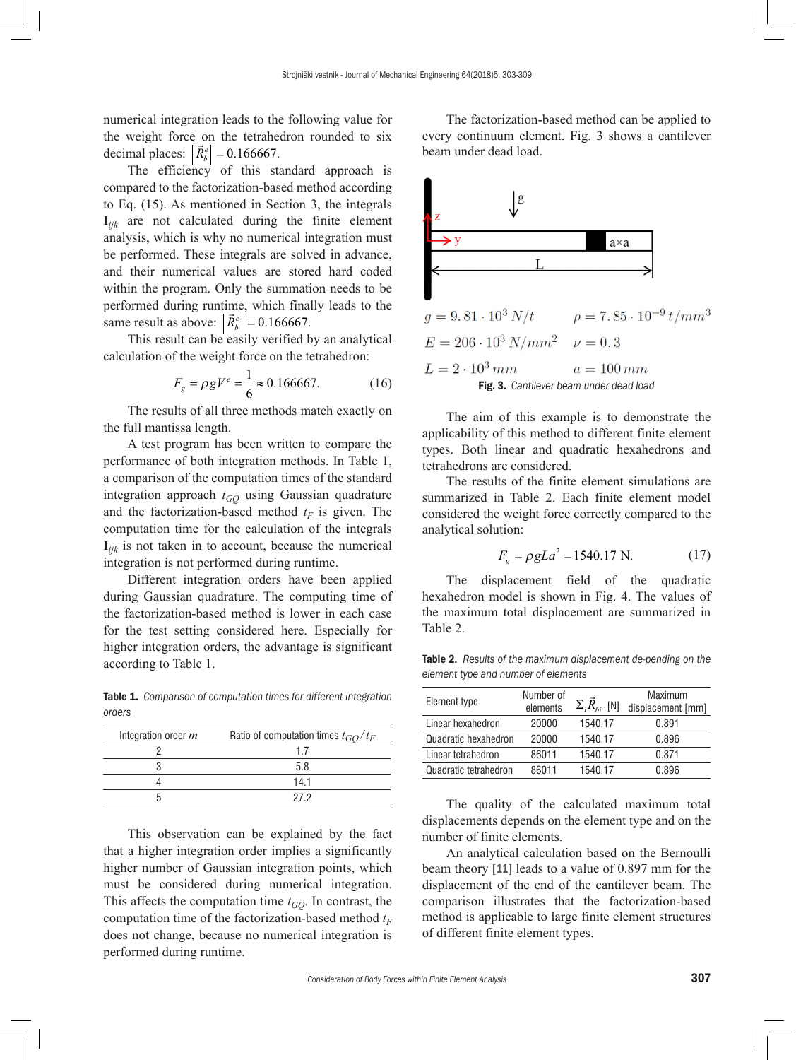numerical integration leads to the following value for the weight force on the tetrahedron rounded to six decimal places:  $\left\| \vec{R}_{b}^{e} \right\| = 0.166667.$ 

The efficiency of this standard approach is compared to the factorization-based method according to Eq. (15). As mentioned in Section 3, the integrals  $\mathbf{I}_{ijk}$  are not calculated during the finite element analysis, which is why no numerical integration must be performed. These integrals are solved in advance, and their numerical values are stored hard coded within the program. Only the summation needs to be performed during runtime, which finally leads to the same result as above:  $\left\| \vec{R}_{b}^{e} \right\| = 0.166667$ .

This result can be easily verified by an analytical calculation of the weight force on the tetrahedron:

$$
F_g = \rho g V^e = \frac{1}{6} \approx 0.166667. \tag{16}
$$

The results of all three methods match exactly on the full mantissa length.

A test program has been written to compare the performance of both integration methods. In Table 1, a comparison of the computation times of the standard integration approach  $t_{GO}$  using Gaussian quadrature and the factorization-based method  $t_F$  is given. The computation time for the calculation of the integrals  $\mathbf{I}_{ijk}$  is not taken in to account, because the numerical integration is not performed during runtime.

Different integration orders have been applied during Gaussian quadrature. The computing time of the factorization-based method is lower in each case for the test setting considered here. Especially for higher integration orders, the advantage is significant according to Table 1.

Table 1. *Comparison of computation times for different integration orders* 

| Integration order m | Ratio of computation times $t_{GO}/t_F$ |  |  |
|---------------------|-----------------------------------------|--|--|
|                     |                                         |  |  |
|                     | 58                                      |  |  |
|                     | 141                                     |  |  |
|                     |                                         |  |  |

This observation can be explained by the fact that a higher integration order implies a significantly higher number of Gaussian integration points, which must be considered during numerical integration. This affects the computation time  $t_{GQ}$ . In contrast, the computation time of the factorization-based method  $t_F$ does not change, because no numerical integration is performed during runtime.

The factorization-based method can be applied to every continuum element. Fig. 3 shows a cantilever beam under dead load.



The aim of this example is to demonstrate the applicability of this method to different finite element types. Both linear and quadratic hexahedrons and tetrahedrons are considered.

The results of the finite element simulations are summarized in Table 2. Each finite element model considered the weight force correctly compared to the analytical solution:

$$
F_g = \rho g L a^2 = 1540.17 \text{ N.}
$$
 (17)

The displacement field of the quadratic hexahedron model is shown in Fig. 4. The values of the maximum total displacement are summarized in Table 2.

Table 2. *Results of the maximum displacement de-pending on the element type and number of elements*

| Element type          | Number of<br>elements | $\Sigma_i R_{bi}$ [N] | Maximum<br>displacement [mm] |
|-----------------------|-----------------------|-----------------------|------------------------------|
| Linear hexahedron     | 20000                 | 1540.17               | 0.891                        |
| Quadratic hexahedron  | 20000                 | 1540.17               | 0.896                        |
| Linear tetrahedron    | 86011                 | 1540.17               | 0.871                        |
| Quadratic tetrahedron | 86011                 | 1540.17               | 0.896                        |

The quality of the calculated maximum total displacements depends on the element type and on the number of finite elements.

An analytical calculation based on the Bernoulli beam theory [11] leads to a value of 0.897 mm for the displacement of the end of the cantilever beam. The comparison illustrates that the factorization-based method is applicable to large finite element structures of different finite element types.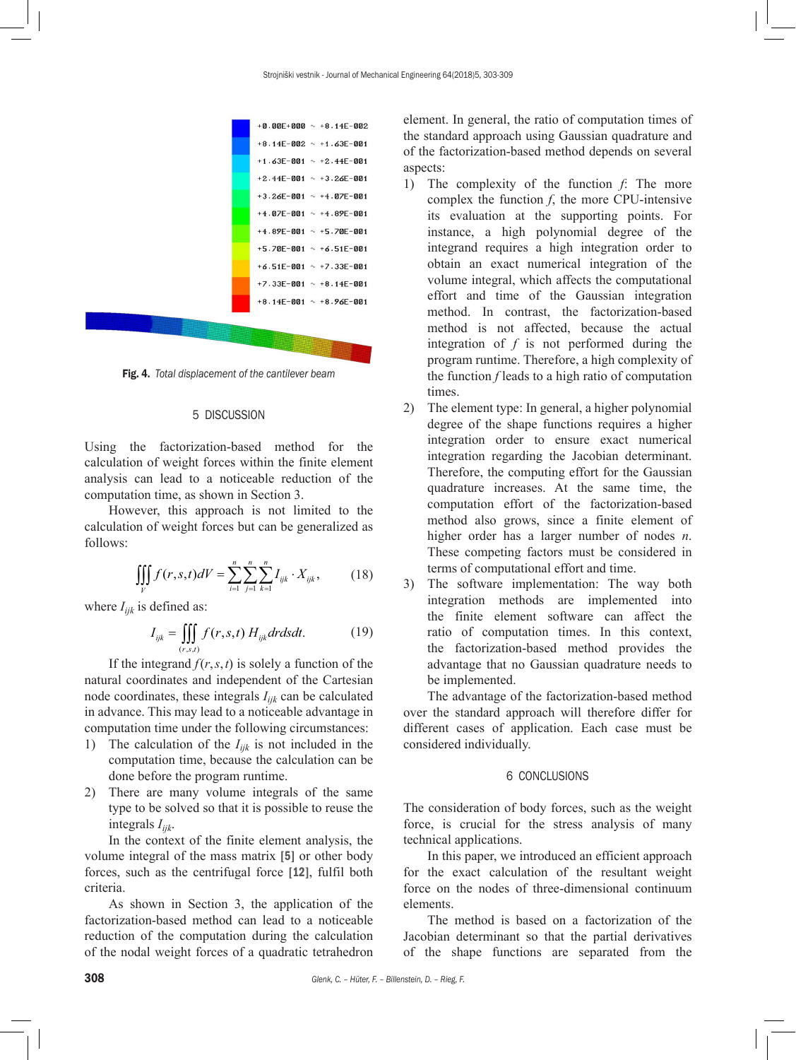

Fig. 4. *Total displacement of the cantilever beam*

# 5 DISCUSSION

Using the factorization-based method for the calculation of weight forces within the finite element analysis can lead to a noticeable reduction of the computation time, as shown in Section 3.

However, this approach is not limited to the calculation of weight forces but can be generalized as follows:

$$
\iiint\limits_V f(r,s,t)dV = \sum_{i=1}^n \sum_{j=1}^n \sum_{k=1}^n I_{ijk} \cdot X_{ijk},
$$
 (18)

where  $I_{ijk}$  is defined as:

$$
I_{ijk} = \iiint\limits_{(r,s,t)} f(r,s,t) H_{ijk} dr ds dt.
$$
 (19)

If the integrand  $f(r, s, t)$  is solely a function of the natural coordinates and independent of the Cartesian node coordinates, these integrals  $I_{ijk}$  can be calculated in advance. This may lead to a noticeable advantage in computation time under the following circumstances:

- 1) The calculation of the *Iijk* is not included in the computation time, because the calculation can be done before the program runtime.
- 2) There are many volume integrals of the same type to be solved so that it is possible to reuse the integrals *Iijk*.

In the context of the finite element analysis, the volume integral of the mass matrix [5] or other body forces, such as the centrifugal force [12], fulfil both criteria.

As shown in Section 3, the application of the factorization-based method can lead to a noticeable reduction of the computation during the calculation of the nodal weight forces of a quadratic tetrahedron element. In general, the ratio of computation times of the standard approach using Gaussian quadrature and of the factorization-based method depends on several aspects:

- 1) The complexity of the function *f*: The more complex the function *f*, the more CPU-intensive its evaluation at the supporting points. For instance, a high polynomial degree of the integrand requires a high integration order to obtain an exact numerical integration of the volume integral, which affects the computational effort and time of the Gaussian integration method. In contrast, the factorization-based method is not affected, because the actual integration of *f* is not performed during the program runtime. Therefore, a high complexity of the function *f* leads to a high ratio of computation times.
- 2) The element type: In general, a higher polynomial degree of the shape functions requires a higher integration order to ensure exact numerical integration regarding the Jacobian determinant. Therefore, the computing effort for the Gaussian quadrature increases. At the same time, the computation effort of the factorization-based method also grows, since a finite element of higher order has a larger number of nodes *n*. These competing factors must be considered in terms of computational effort and time.
- 3) The software implementation: The way both integration methods are implemented into the finite element software can affect the ratio of computation times. In this context, the factorization-based method provides the advantage that no Gaussian quadrature needs to be implemented.

The advantage of the factorization-based method over the standard approach will therefore differ for different cases of application. Each case must be considered individually.

#### 6 CONCLUSIONS

The consideration of body forces, such as the weight force, is crucial for the stress analysis of many technical applications.

In this paper, we introduced an efficient approach for the exact calculation of the resultant weight force on the nodes of three-dimensional continuum elements.

The method is based on a factorization of the Jacobian determinant so that the partial derivatives of the shape functions are separated from the